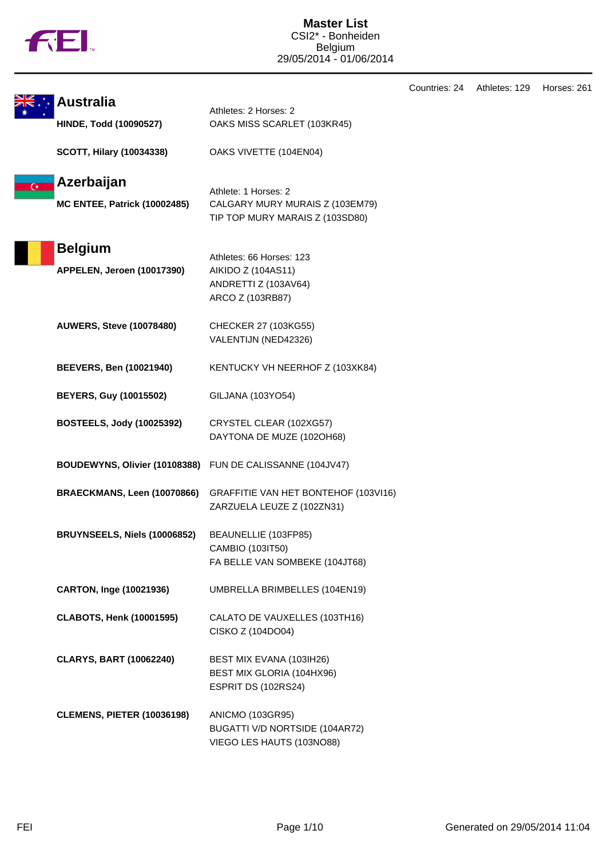|  | ΤM |
|--|----|
|  |    |

|                |                                                           |                                                                                            | Countries: 24 | Athletes: 129 | Horses: 261 |
|----------------|-----------------------------------------------------------|--------------------------------------------------------------------------------------------|---------------|---------------|-------------|
|                | <b>Australia</b><br><b>HINDE, Todd (10090527)</b>         | Athletes: 2 Horses: 2<br>OAKS MISS SCARLET (103KR45)                                       |               |               |             |
|                | <b>SCOTT, Hilary (10034338)</b>                           | OAKS VIVETTE (104EN04)                                                                     |               |               |             |
| $\overline{C}$ | Azerbaijan<br><b>MC ENTEE, Patrick (10002485)</b>         | Athlete: 1 Horses: 2<br>CALGARY MURY MURAIS Z (103EM79)<br>TIP TOP MURY MARAIS Z (103SD80) |               |               |             |
|                | <b>Belgium</b><br>APPELEN, Jeroen (10017390)              | Athletes: 66 Horses: 123<br>AIKIDO Z (104AS11)<br>ANDRETTI Z (103AV64)<br>ARCO Z (103RB87) |               |               |             |
|                | <b>AUWERS, Steve (10078480)</b>                           | CHECKER 27 (103KG55)<br>VALENTIJN (NED42326)                                               |               |               |             |
|                | <b>BEEVERS, Ben (10021940)</b>                            | KENTUCKY VH NEERHOF Z (103XK84)                                                            |               |               |             |
|                | <b>BEYERS, Guy (10015502)</b>                             | GILJANA (103YO54)                                                                          |               |               |             |
|                | <b>BOSTEELS, Jody (10025392)</b>                          | CRYSTEL CLEAR (102XG57)<br>DAYTONA DE MUZE (102OH68)                                       |               |               |             |
|                | BOUDEWYNS, Olivier (10108388) FUN DE CALISSANNE (104JV47) |                                                                                            |               |               |             |
|                | BRAECKMANS, Leen (10070866)                               | GRAFFITIE VAN HET BONTEHOF (103VI16)<br>ZARZUELA LEUZE Z (102ZN31)                         |               |               |             |
|                | BRUYNSEELS, Niels (10006852)                              | BEAUNELLIE (103FP85)<br>CAMBIO (103IT50)<br>FA BELLE VAN SOMBEKE (104JT68)                 |               |               |             |
|                | CARTON, Inge (10021936)                                   | UMBRELLA BRIMBELLES (104EN19)                                                              |               |               |             |
|                | <b>CLABOTS, Henk (10001595)</b>                           | CALATO DE VAUXELLES (103TH16)<br>CISKO Z (104DO04)                                         |               |               |             |
|                | <b>CLARYS, BART (10062240)</b>                            | BEST MIX EVANA (103IH26)<br>BEST MIX GLORIA (104HX96)<br>ESPRIT DS (102RS24)               |               |               |             |
|                | <b>CLEMENS, PIETER (10036198)</b>                         | ANICMO (103GR95)<br>BUGATTI V/D NORTSIDE (104AR72)<br>VIEGO LES HAUTS (103NO88)            |               |               |             |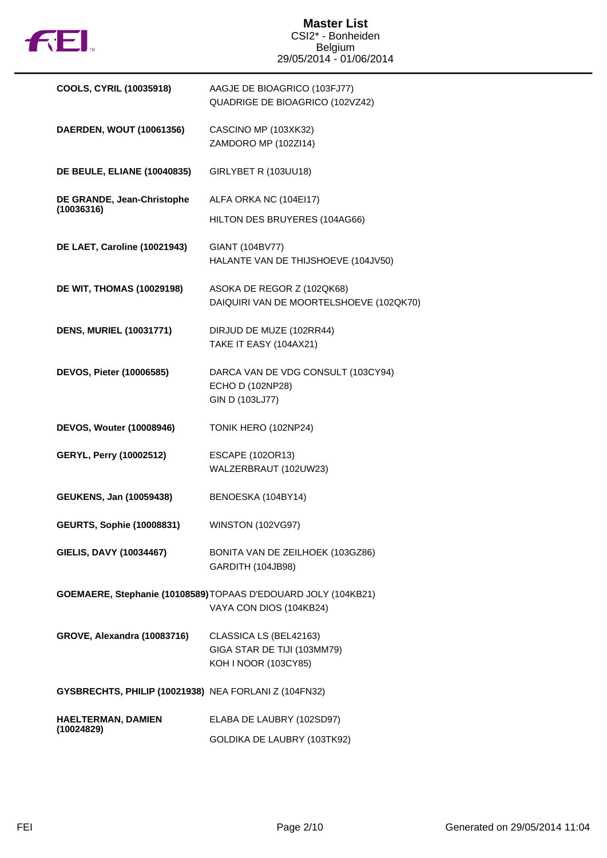

## **Master List** CSI2\* - Bonheiden Belgium 29/05/2014 - 01/06/2014

| <b>COOLS, CYRIL (10035918)</b>                        | AAGJE DE BIOAGRICO (103FJ77)<br>QUADRIGE DE BIOAGRICO (102VZ42)                           |
|-------------------------------------------------------|-------------------------------------------------------------------------------------------|
| DAERDEN, WOUT (10061356)                              | CASCINO MP (103XK32)<br>ZAMDORO MP (102Zl14)                                              |
| <b>DE BEULE, ELIANE (10040835)</b>                    | GIRLYBET R (103UU18)                                                                      |
| DE GRANDE, Jean-Christophe<br>(10036316)              | ALFA ORKA NC (104El17)                                                                    |
|                                                       | HILTON DES BRUYERES (104AG66)                                                             |
| DE LAET, Caroline (10021943)                          | GIANT (104BV77)<br>HALANTE VAN DE THIJSHOEVE (104JV50)                                    |
| <b>DE WIT, THOMAS (10029198)</b>                      | ASOKA DE REGOR Z (102QK68)<br>DAIQUIRI VAN DE MOORTELSHOEVE (102QK70)                     |
| <b>DENS, MURIEL (10031771)</b>                        | DIRJUD DE MUZE (102RR44)<br>TAKE IT EASY (104AX21)                                        |
| DEVOS, Pieter (10006585)                              | DARCA VAN DE VDG CONSULT (103CY94)<br>ECHO D (102NP28)<br>GIN D (103LJ77)                 |
| <b>DEVOS, Wouter (10008946)</b>                       | TONIK HERO (102NP24)                                                                      |
| <b>GERYL, Perry (10002512)</b>                        | ESCAPE (102OR13)<br>WALZERBRAUT (102UW23)                                                 |
| <b>GEUKENS, Jan (10059438)</b>                        | BENOESKA (104BY14)                                                                        |
| <b>GEURTS, Sophie (10008831)</b>                      | <b>WINSTON (102VG97)</b>                                                                  |
| GIELIS, DAVY (10034467)                               | BONITA VAN DE ZEILHOEK (103GZ86)<br>GARDITH (104JB98)                                     |
|                                                       | GOEMAERE, Stephanie (10108589) TOPAAS D'EDOUARD JOLY (104KB21)<br>VAYA CON DIOS (104KB24) |
| <b>GROVE, Alexandra (10083716)</b>                    | CLASSICA LS (BEL42163)<br>GIGA STAR DE TIJI (103MM79)<br>KOH I NOOR (103CY85)             |
| GYSBRECHTS, PHILIP (10021938) NEA FORLANI Z (104FN32) |                                                                                           |
| HAELTERMAN, DAMIEN<br>(10024829)                      | ELABA DE LAUBRY (102SD97)                                                                 |
|                                                       | GOLDIKA DE LAUBRY (103TK92)                                                               |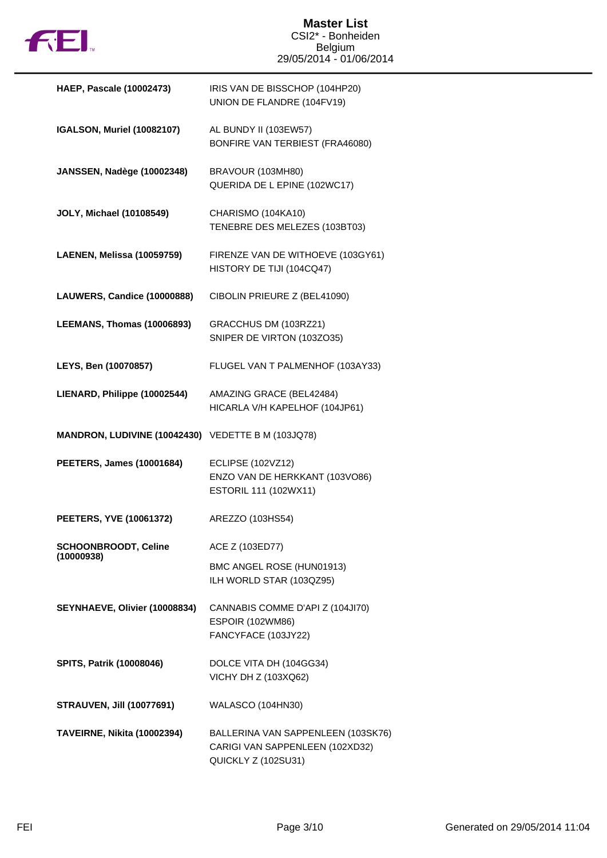

## **Master List** CSI2\* - Bonheiden Belgium 29/05/2014 - 01/06/2014

| <b>HAEP, Pascale (10002473)</b>                    | IRIS VAN DE BISSCHOP (104HP20)<br>UNION DE FLANDRE (104FV19)                                 |
|----------------------------------------------------|----------------------------------------------------------------------------------------------|
| <b>IGALSON, Muriel (10082107)</b>                  | AL BUNDY II (103EW57)<br>BONFIRE VAN TERBIEST (FRA46080)                                     |
| <b>JANSSEN, Nadège (10002348)</b>                  | BRAVOUR (103MH80)<br>QUERIDA DE L EPINE (102WC17)                                            |
| <b>JOLY, Michael (10108549)</b>                    | CHARISMO (104KA10)<br>TENEBRE DES MELEZES (103BT03)                                          |
| LAENEN, Melissa (10059759)                         | FIRENZE VAN DE WITHOEVE (103GY61)<br>HISTORY DE TIJI (104CQ47)                               |
| LAUWERS, Candice (10000888)                        | CIBOLIN PRIEURE Z (BEL41090)                                                                 |
| LEEMANS, Thomas (10006893)                         | GRACCHUS DM (103RZ21)<br>SNIPER DE VIRTON (103ZO35)                                          |
| LEYS, Ben (10070857)                               | FLUGEL VAN T PALMENHOF (103AY33)                                                             |
| LIENARD, Philippe (10002544)                       | AMAZING GRACE (BEL42484)<br>HICARLA V/H KAPELHOF (104JP61)                                   |
| MANDRON, LUDIVINE (10042430) VEDETTE B M (103JQ78) |                                                                                              |
| <b>PEETERS, James (10001684)</b>                   | <b>ECLIPSE (102VZ12)</b><br>ENZO VAN DE HERKKANT (103VO86)<br>ESTORIL 111 (102WX11)          |
| PEETERS, YVE (10061372)                            | AREZZO (103HS54)                                                                             |
| <b>SCHOONBROODT, Celine</b><br>(10000938)          | ACE Z (103ED77)                                                                              |
|                                                    | BMC ANGEL ROSE (HUN01913)<br>ILH WORLD STAR (103QZ95)                                        |
| SEYNHAEVE, Olivier (10008834)                      | CANNABIS COMME D'API Z (104JI70)<br><b>ESPOIR (102WM86)</b><br>FANCYFACE (103JY22)           |
| <b>SPITS, Patrik (10008046)</b>                    | DOLCE VITA DH (104GG34)<br>VICHY DH Z (103XQ62)                                              |
| <b>STRAUVEN, Jill (10077691)</b>                   | <b>WALASCO (104HN30)</b>                                                                     |
| <b>TAVEIRNE, Nikita (10002394)</b>                 | BALLERINA VAN SAPPENLEEN (103SK76)<br>CARIGI VAN SAPPENLEEN (102XD32)<br>QUICKLY Z (102SU31) |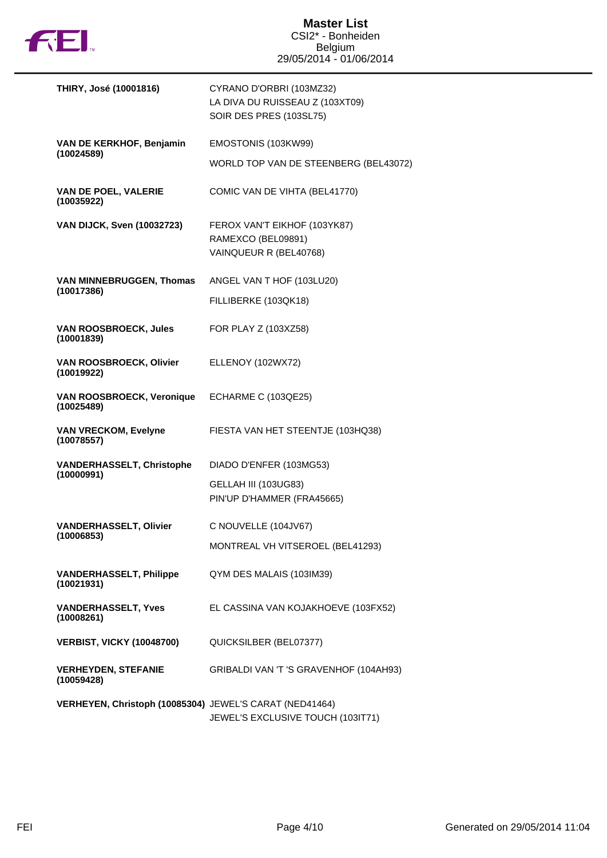

| THIRY, José (10001816)                                  | CYRANO D'ORBRI (103MZ32)<br>LA DIVA DU RUISSEAU Z (103XT09)<br>SOIR DES PRES (103SL75) |
|---------------------------------------------------------|----------------------------------------------------------------------------------------|
| VAN DE KERKHOF, Benjamin                                | EMOSTONIS (103KW99)                                                                    |
| (10024589)                                              | WORLD TOP VAN DE STEENBERG (BEL43072)                                                  |
| VAN DE POEL, VALERIE<br>(10035922)                      | COMIC VAN DE VIHTA (BEL41770)                                                          |
| <b>VAN DIJCK, Sven (10032723)</b>                       | FEROX VAN'T EIKHOF (103YK87)<br>RAMEXCO (BEL09891)<br>VAINQUEUR R (BEL40768)           |
| <b>VAN MINNEBRUGGEN, Thomas</b>                         | ANGEL VAN T HOF (103LU20)                                                              |
| (10017386)                                              | FILLIBERKE (103QK18)                                                                   |
| <b>VAN ROOSBROECK, Jules</b><br>(10001839)              | FOR PLAY Z (103XZ58)                                                                   |
| VAN ROOSBROECK, Olivier<br>(10019922)                   | ELLENOY (102WX72)                                                                      |
| VAN ROOSBROECK, Veronique<br>(10025489)                 | ECHARME C (103QE25)                                                                    |
| <b>VAN VRECKOM, Evelyne</b><br>(10078557)               | FIESTA VAN HET STEENTJE (103HQ38)                                                      |
| <b>VANDERHASSELT, Christophe</b><br>(10000991)          | DIADO D'ENFER (103MG53)                                                                |
|                                                         | GELLAH III (103UG83)<br>PIN'UP D'HAMMER (FRA45665)                                     |
| <b>VANDERHASSELT, Olivier</b>                           | C NOUVELLE (104JV67)                                                                   |
| (10006853)                                              | MONTREAL VH VITSEROEL (BEL41293)                                                       |
| <b>VANDERHASSELT, Philippe</b><br>(10021931)            | QYM DES MALAIS (103IM39)                                                               |
| <b>VANDERHASSELT, Yves</b><br>(10008261)                | EL CASSINA VAN KOJAKHOEVE (103FX52)                                                    |
| <b>VERBIST, VICKY (10048700)</b>                        | QUICKSILBER (BEL07377)                                                                 |
| <b>VERHEYDEN, STEFANIE</b><br>(10059428)                | GRIBALDI VAN 'T 'S GRAVENHOF (104AH93)                                                 |
| VERHEYEN, Christoph (10085304) JEWEL'S CARAT (NED41464) | JEWEL'S EXCLUSIVE TOUCH (103IT71)                                                      |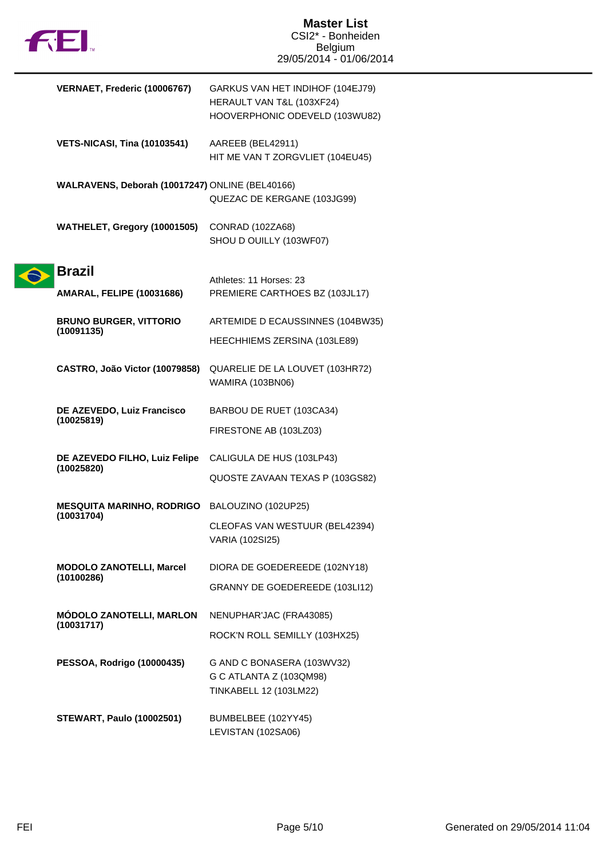

| VERNAET, Frederic (10006767)                    | GARKUS VAN HET INDIHOF (104EJ79)<br>HERAULT VAN T&L (103XF24)<br>HOOVERPHONIC ODEVELD (103WU82) |
|-------------------------------------------------|-------------------------------------------------------------------------------------------------|
| <b>VETS-NICASI, Tina (10103541)</b>             | AAREEB (BEL42911)<br>HIT ME VAN T ZORGVLIET (104EU45)                                           |
| WALRAVENS, Deborah (10017247) ONLINE (BEL40166) | QUEZAC DE KERGANE (103JG99)                                                                     |
| WATHELET, Gregory (10001505)                    | CONRAD (102ZA68)<br>SHOU D OUILLY (103WF07)                                                     |
| <b>Brazil</b>                                   |                                                                                                 |
| <b>AMARAL, FELIPE (10031686)</b>                | Athletes: 11 Horses: 23<br>PREMIERE CARTHOES BZ (103JL17)                                       |
| <b>BRUNO BURGER, VITTORIO</b><br>(10091135)     | ARTEMIDE D ECAUSSINNES (104BW35)                                                                |
|                                                 | HEECHHIEMS ZERSINA (103LE89)                                                                    |
| CASTRO, João Victor (10079858)                  | QUARELIE DE LA LOUVET (103HR72)<br><b>WAMIRA (103BN06)</b>                                      |
| DE AZEVEDO, Luiz Francisco                      | BARBOU DE RUET (103CA34)                                                                        |
| (10025819)                                      | FIRESTONE AB (103LZ03)                                                                          |
| DE AZEVEDO FILHO, Luiz Felipe                   | CALIGULA DE HUS (103LP43)                                                                       |
| (10025820)                                      | QUOSTE ZAVAAN TEXAS P (103GS82)                                                                 |
| <b>MESQUITA MARINHO, RODRIGO</b>                | BALOUZINO (102UP25)                                                                             |
| (10031704)                                      | CLEOFAS VAN WESTUUR (BEL42394)<br><b>VARIA (102SI25)</b>                                        |
| <b>MODOLO ZANOTELLI, Marcel</b>                 | DIORA DE GOEDEREEDE (102NY18)                                                                   |
| (10100286)                                      | GRANNY DE GOEDEREEDE (103LI12)                                                                  |
| <b>MÓDOLO ZANOTELLI, MARLON</b>                 | NENUPHAR'JAC (FRA43085)                                                                         |
| (10031717)                                      | ROCK'N ROLL SEMILLY (103HX25)                                                                   |
| PESSOA, Rodrigo (10000435)                      | G AND C BONASERA (103WV32)<br>G C ATLANTA Z (103QM98)<br>TINKABELL 12 (103LM22)                 |
| <b>STEWART, Paulo (10002501)</b>                | BUMBELBEE (102YY45)<br>LEVISTAN (102SA06)                                                       |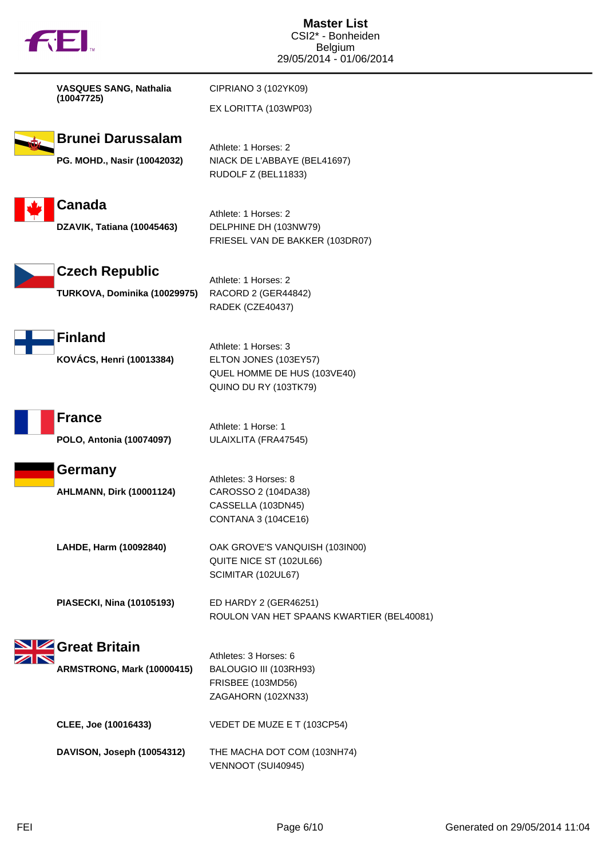| <b>FEI</b> |                                                         | <b>Master List</b><br>CSI2* - Bonheiden<br><b>Belgium</b><br>29/05/2014 - 01/06/2014                  |
|------------|---------------------------------------------------------|-------------------------------------------------------------------------------------------------------|
|            | <b>VASQUES SANG, Nathalia</b><br>(10047725)             | CIPRIANO 3 (102YK09)<br>EX LORITTA (103WP03)                                                          |
|            | <b>Brunei Darussalam</b><br>PG. MOHD., Nasir (10042032) | Athlete: 1 Horses: 2<br>NIACK DE L'ABBAYE (BEL41697)<br>RUDOLF Z (BEL11833)                           |
|            | <b>Canada</b><br>DZAVIK, Tatiana (10045463)             | Athlete: 1 Horses: 2<br>DELPHINE DH (103NW79)<br>FRIESEL VAN DE BAKKER (103DR07)                      |
|            | <b>Czech Republic</b><br>TURKOVA, Dominika (10029975)   | Athlete: 1 Horses: 2<br>RACORD 2 (GER44842)<br>RADEK (CZE40437)                                       |
|            | <b>Finland</b><br>KOVÁCS, Henri (10013384)              | Athlete: 1 Horses: 3<br>ELTON JONES (103EY57)<br>QUEL HOMME DE HUS (103VE40)<br>QUINO DU RY (103TK79) |
|            | <b>France</b><br>POLO, Antonia (10074097)               | Athlete: 1 Horse: 1<br>ULAIXLITA (FRA47545)                                                           |
|            | Germany<br><b>AHLMANN, Dirk (10001124)</b>              | Athletes: 3 Horses: 8<br>CAROSSO 2 (104DA38)<br>CASSELLA (103DN45)<br><b>CONTANA 3 (104CE16)</b>      |
|            | LAHDE, Harm (10092840)                                  | OAK GROVE'S VANQUISH (103IN00)<br>QUITE NICE ST (102UL66)<br>SCIMITAR (102UL67)                       |
|            | PIASECKI, Nina (10105193)                               | ED HARDY 2 (GER46251)<br>ROULON VAN HET SPAANS KWARTIER (BEL40081)                                    |
|            | Great Britain<br>ARMSTRONG, Mark (10000415)             | Athletes: 3 Horses: 6<br>BALOUGIO III (103RH93)<br>FRISBEE (103MD56)<br>ZAGAHORN (102XN33)            |
|            | CLEE, Joe (10016433)                                    | VEDET DE MUZE E T (103CP54)                                                                           |
|            | DAVISON, Joseph (10054312)                              | THE MACHA DOT COM (103NH74)<br>VENNOOT (SUI40945)                                                     |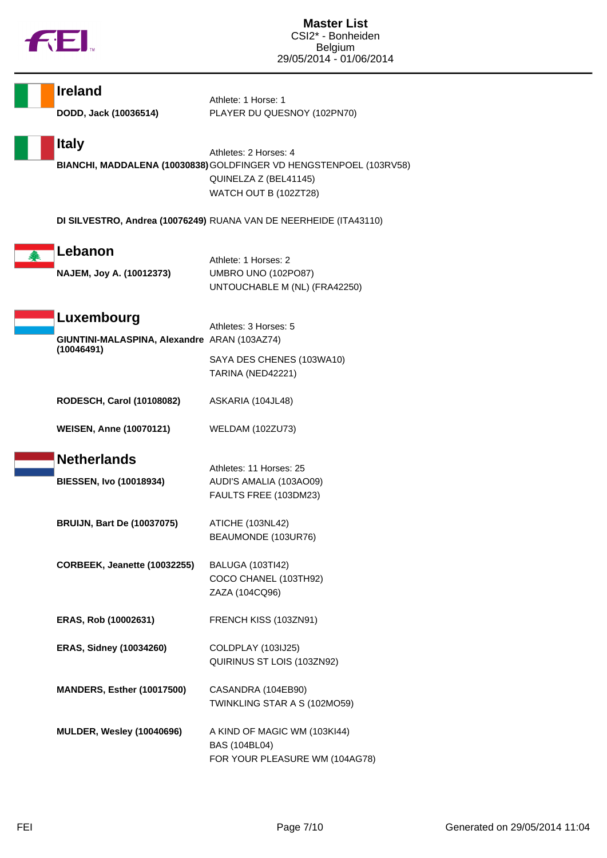

| <b>Ireland</b><br>DODD, Jack (10036514)                                  | Athlete: 1 Horse: 1<br>PLAYER DU QUESNOY (102PN70)                                                                                            |
|--------------------------------------------------------------------------|-----------------------------------------------------------------------------------------------------------------------------------------------|
| <b>Italy</b>                                                             | Athletes: 2 Horses: 4<br>BIANCHI, MADDALENA (10030838) GOLDFINGER VD HENGSTENPOEL (103RV58)<br>QUINELZA Z (BEL41145)<br>WATCH OUT B (102ZT28) |
|                                                                          | DI SILVESTRO, Andrea (10076249) RUANA VAN DE NEERHEIDE (ITA43110)                                                                             |
| Lebanon<br>NAJEM, Joy A. (10012373)                                      | Athlete: 1 Horses: 2<br>UMBRO UNO (102PO87)<br>UNTOUCHABLE M (NL) (FRA42250)                                                                  |
| Luxembourg<br>GIUNTINI-MALASPINA, Alexandre ARAN (103AZ74)<br>(10046491) | Athletes: 3 Horses: 5<br>SAYA DES CHENES (103WA10)                                                                                            |
|                                                                          | TARINA (NED42221)                                                                                                                             |
| RODESCH, Carol (10108082)                                                | ASKARIA (104JL48)                                                                                                                             |
| <b>WEISEN, Anne (10070121)</b>                                           | <b>WELDAM (102ZU73)</b>                                                                                                                       |
| <b>Netherlands</b><br><b>BIESSEN, Ivo (10018934)</b>                     | Athletes: 11 Horses: 25<br>AUDI'S AMALIA (103AO09)<br>FAULTS FREE (103DM23)                                                                   |
| <b>BRUIJN, Bart De (10037075)</b>                                        | ATICHE (103NL42)<br>BEAUMONDE (103UR76)                                                                                                       |
| CORBEEK, Jeanette (10032255)                                             | <b>BALUGA (103TI42)</b><br>COCO CHANEL (103TH92)<br>ZAZA (104CQ96)                                                                            |
| ERAS, Rob (10002631)                                                     | FRENCH KISS (103ZN91)                                                                                                                         |
| <b>ERAS, Sidney (10034260)</b>                                           | COLDPLAY (103IJ25)<br>QUIRINUS ST LOIS (103ZN92)                                                                                              |
| MANDERS, Esther (10017500)                                               | CASANDRA (104EB90)<br>TWINKLING STAR A S (102MO59)                                                                                            |
| <b>MULDER, Wesley (10040696)</b>                                         | A KIND OF MAGIC WM (103KI44)<br>BAS (104BL04)<br>FOR YOUR PLEASURE WM (104AG78)                                                               |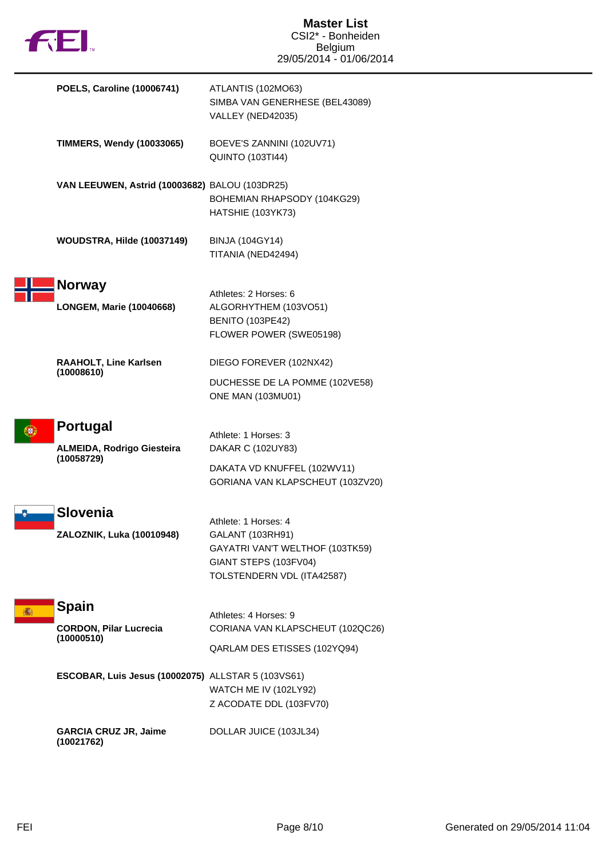

F

| <b>POELS, Caroline (10006741)</b>                                  | ATLANTIS (102MO63)<br>SIMBA VAN GENERHESE (BEL43089)<br>VALLEY (NED42035)                                                          |
|--------------------------------------------------------------------|------------------------------------------------------------------------------------------------------------------------------------|
| <b>TIMMERS, Wendy (10033065)</b>                                   | BOEVE'S ZANNINI (102UV71)<br><b>QUINTO (103TI44)</b>                                                                               |
| VAN LEEUWEN, Astrid (10003682) BALOU (103DR25)                     | BOHEMIAN RHAPSODY (104KG29)<br>HATSHIE (103YK73)                                                                                   |
| WOUDSTRA, Hilde (10037149)                                         | <b>BINJA (104GY14)</b><br>TITANIA (NED42494)                                                                                       |
| <b>Norway</b><br><b>LONGEM, Marie (10040668)</b>                   | Athletes: 2 Horses: 6<br>ALGORHYTHEM (103VO51)<br><b>BENITO (103PE42)</b><br>FLOWER POWER (SWE05198)                               |
| RAAHOLT, Line Karlsen<br>(10008610)                                | DIEGO FOREVER (102NX42)<br>DUCHESSE DE LA POMME (102VE58)<br><b>ONE MAN (103MU01)</b>                                              |
| <b>Portugal</b><br><b>ALMEIDA, Rodrigo Giesteira</b><br>(10058729) | Athlete: 1 Horses: 3<br>DAKAR C (102UY83)<br>DAKATA VD KNUFFEL (102WV11)<br>GORIANA VAN KLAPSCHEUT (103ZV20)                       |
| Slovenia<br>ZALOZNIK, Luka (10010948)                              | Athlete: 1 Horses: 4<br>GALANT (103RH91)<br>GAYATRI VAN'T WELTHOF (103TK59)<br>GIANT STEPS (103FV04)<br>TOLSTENDERN VDL (ITA42587) |
| <b>Spain</b><br><b>CORDON, Pilar Lucrecia</b><br>(10000510)        | Athletes: 4 Horses: 9<br>CORIANA VAN KLAPSCHEUT (102QC26)<br>QARLAM DES ETISSES (102YQ94)                                          |
| <b>ESCOBAR, Luis Jesus (10002075)</b> ALLSTAR 5 (103VS61)          | WATCH ME IV (102LY92)<br>Z ACODATE DDL (103FV70)                                                                                   |
| <b>GARCIA CRUZ JR, Jaime</b><br>(10021762)                         | DOLLAR JUICE (103JL34)                                                                                                             |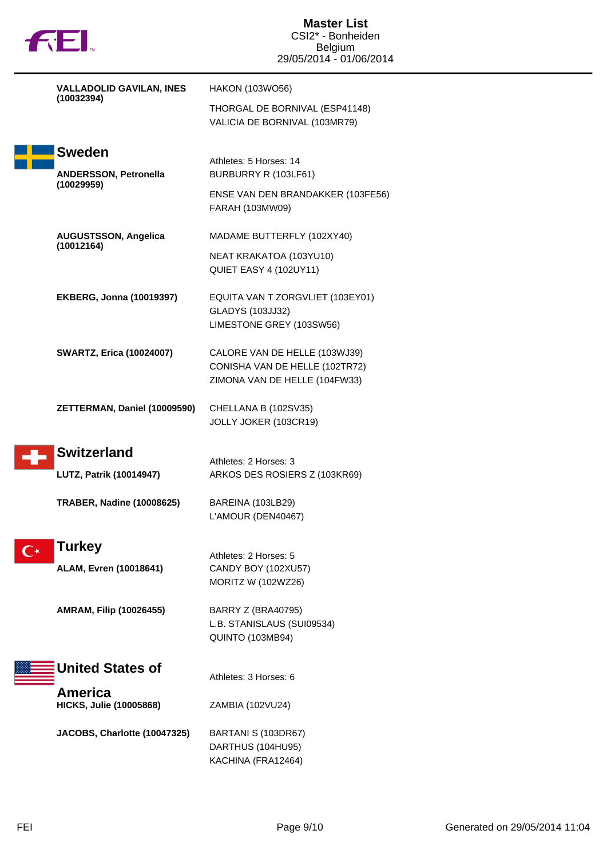| <b>TREI</b> |                                                  | <b>Master List</b><br>CSI2* - Bonheiden<br><b>Belgium</b><br>29/05/2014 - 01/06/2014 |
|-------------|--------------------------------------------------|--------------------------------------------------------------------------------------|
|             | <b>VALLADOLID GAVILAN, INES</b><br>(10032394)    | HAKON (103WO56)                                                                      |
|             |                                                  | THORGAL DE BORNIVAL (ESP41148)<br>VALICIA DE BORNIVAL (103MR79)                      |
|             | <b>Sweden</b>                                    | Athletes: 5 Horses: 14                                                               |
|             | ANDERSSON, Petronella<br>(10029959)              | BURBURRY R (103LF61)                                                                 |
|             |                                                  | ENSE VAN DEN BRANDAKKER (103FE56)<br>FARAH (103MW09)                                 |
|             | <b>AUGUSTSSON, Angelica</b><br>(10012164)        | MADAME BUTTERFLY (102XY40)                                                           |
|             |                                                  | NEAT KRAKATOA (103YU10)<br>QUIET EASY 4 (102UY11)                                    |
|             | <b>EKBERG, Jonna (10019397)</b>                  | EQUITA VAN T ZORGVLIET (103EY01)                                                     |
|             |                                                  | <b>GLADYS (103JJ32)</b><br>LIMESTONE GREY (103SW56)                                  |
|             | <b>SWARTZ, Erica (10024007)</b>                  | CALORE VAN DE HELLE (103WJ39)                                                        |
|             |                                                  | CONISHA VAN DE HELLE (102TR72)<br>ZIMONA VAN DE HELLE (104FW33)                      |
|             | ZETTERMAN, Daniel (10009590)                     | CHELLANA B (102SV35)<br>JOLLY JOKER (103CR19)                                        |
|             | <b>Switzerland</b>                               | Athletes: 2 Horses: 3                                                                |
|             | LUTZ, Patrik (10014947)                          | ARKOS DES ROSIERS Z (103KR69)                                                        |
|             | <b>TRABER, Nadine (10008625)</b>                 | BAREINA (103LB29)<br>L'AMOUR (DEN40467)                                              |
|             | <b>Turkey</b>                                    |                                                                                      |
|             | ALAM, Evren (10018641)                           | Athletes: 2 Horses: 5<br>CANDY BOY (102XU57)                                         |
|             |                                                  | MORITZ W (102WZ26)                                                                   |
|             | AMRAM, Filip (10026455)                          | <b>BARRY Z (BRA40795)</b><br>L.B. STANISLAUS (SUI09534)                              |
|             |                                                  | QUINTO (103MB94)                                                                     |
|             | <b>United States of</b>                          | Athletes: 3 Horses: 6                                                                |
|             | <b>America</b><br><b>HICKS, Julie (10005868)</b> | ZAMBIA (102VU24)                                                                     |
|             | JACOBS, Charlotte (10047325)                     | BARTANI S (103DR67)                                                                  |
|             |                                                  | DARTHUS (104HU95)<br>KACHINA (FRA12464)                                              |
|             |                                                  |                                                                                      |